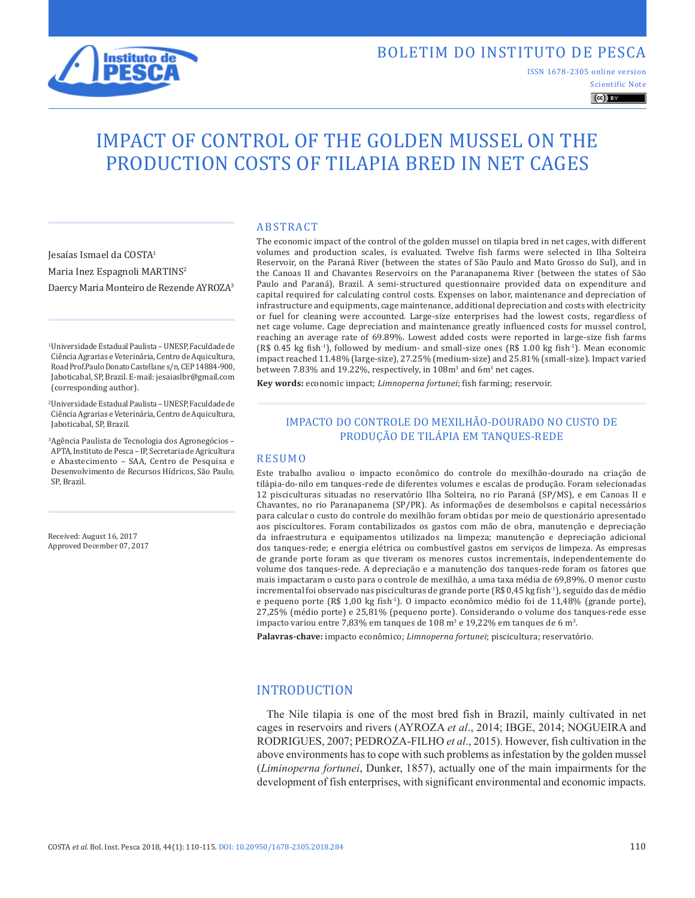

ISSN 1678-2305 online version

Scientific Note  $\left(\mathrm{cc}\right)$  BY

# IMPACT OF CONTROL OF THE GOLDEN MUSSEL ON THE PRODUCTION COSTS OF TILAPIA BRED IN NET CAGES

Jesaías Ismael da COSTA1 Maria Inez Espagnoli MARTINS2 Daercy Maria Monteiro de Rezende AYROZA3

1Universidade Estadual Paulista – UNESP, Faculdade de Ciência Agrarias e Veterinária, Centro de Aquicultura, Road Prof.Paulo Donato Castellane s/n, CEP 14884-900, Jaboticabal, SP, Brazil. E-mail: jesaiaslbr@gmail.com (corresponding author).

- 2Universidade Estadual Paulista UNESP, Faculdade de Ciência Agrarias e Veterinária, Centro de Aquicultura, Jaboticabal, SP, Brazil.
- 3Agência Paulista de Tecnologia dos Agronegócios APTA, Instituto de Pesca – IP, Secretaria de Agricultura e Abastecimento – SAA, Centro de Pesquisa e Desenvolvimento de Recursos Hídricos, São Paulo, SP, Brazil.

Received: August 16, 2017 Approved December 07, 2017

#### ABSTRACT

The economic impact of the control of the golden mussel on tilapia bred in net cages, with different volumes and production scales, is evaluated. Twelve fish farms were selected in Ilha Solteira Reservoir, on the Paraná River (between the states of São Paulo and Mato Grosso do Sul), and in the Canoas II and Chavantes Reservoirs on the Paranapanema River (between the states of São Paulo and Paraná), Brazil. A semi-structured questionnaire provided data on expenditure and capital required for calculating control costs. Expenses on labor, maintenance and depreciation of infrastructure and equipments, cage maintenance, additional depreciation and costs with electricity or fuel for cleaning were accounted. Large-size enterprises had the lowest costs, regardless of net cage volume. Cage depreciation and maintenance greatly influenced costs for mussel control, reaching an average rate of 69.89%. Lowest added costs were reported in large-size fish farms (R\$ 0.45 kg fish-1), followed by medium- and small-size ones (R\$ 1.00 kg fish-1). Mean economic impact reached 11.48% (large-size), 27.25% (medium-size) and 25.81% (small-size). Impact varied between  $7.83\%$  and  $19.22\%$ , respectively, in  $108\mathrm{m}^3$  and  $6\mathrm{m}^3$  net cages.

**Key words:** economic impact; *Limnoperna fortunei*; fish farming; reservoir.

#### IMPACTO DO CONTROLE DO MEXILHÃO-DOURADO NO CUSTO DE PRODUÇÃO DE TILÁPIA EM TANQUES-REDE

#### RESUMO

Este trabalho avaliou o impacto econômico do controle do mexilhão-dourado na criação de tilápia-do-nilo em tanques-rede de diferentes volumes e escalas de produção. Foram selecionadas 12 pisciculturas situadas no reservatório Ilha Solteira, no rio Paraná (SP/MS), e em Canoas II e Chavantes, no rio Paranapanema (SP/PR). As informações de desembolsos e capital necessários para calcular o custo do controle do mexilhão foram obtidas por meio de questionário apresentado aos piscicultores. Foram contabilizados os gastos com mão de obra, manutenção e depreciação da infraestrutura e equipamentos utilizados na limpeza; manutenção e depreciação adicional dos tanques-rede; e energia elétrica ou combustível gastos em serviços de limpeza. As empresas de grande porte foram as que tiveram os menores custos incrementais, independentemente do volume dos tanques-rede. A depreciação e a manutenção dos tanques-rede foram os fatores que mais impactaram o custo para o controle de mexilhão, a uma taxa média de 69,89%. O menor custo incremental foi observado nas pisciculturas de grande porte (R\$ 0,45 kg fish-1), seguido das de médio e pequeno porte (R\$ 1,00 kg fish-1). O impacto econômico médio foi de 11,48% (grande porte), 27,25% (médio porte) e 25,81% (pequeno porte). Considerando o volume dos tanques-rede esse impacto variou entre 7,83% em tanques de  $108$  m $^3$  e  $19{,}22\%$  em tanques de 6 m $^3$ .

**Palavras-chave:** impacto econômico; *Limnoperna fortunei*; piscicultura; reservatório.

# INTRODUCTION

The Nile tilapia is one of the most bred fish in Brazil, mainly cultivated in net cages in reservoirs and rivers (AYROZA *et al*., 2014; IBGE, 2014; NOGUEIRA and RODRIGUES, 2007; PEDROZA-FILHO *et al*., 2015). However, fish cultivation in the above environments has to cope with such problems as infestation by the golden mussel (*Liminoperna fortunei*, Dunker, 1857), actually one of the main impairments for the development of fish enterprises, with significant environmental and economic impacts.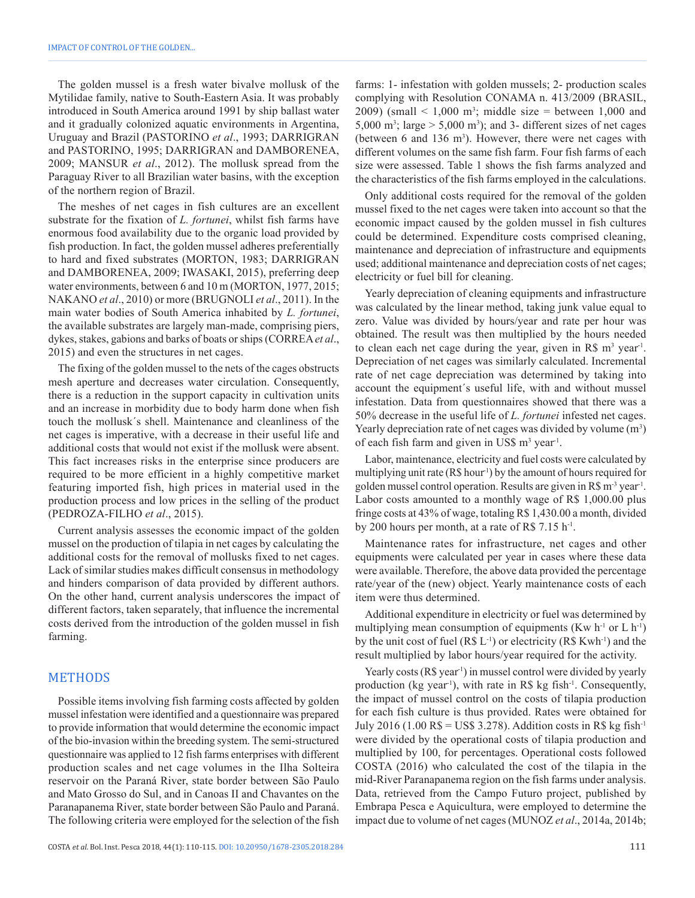The golden mussel is a fresh water bivalve mollusk of the Mytilidae family, native to South-Eastern Asia. It was probably introduced in South America around 1991 by ship ballast water and it gradually colonized aquatic environments in Argentina, Uruguay and Brazil (PASTORINO *et al*., 1993; DARRIGRAN and PASTORINO, 1995; DARRIGRAN and DAMBORENEA, 2009; MANSUR *et al*., 2012). The mollusk spread from the Paraguay River to all Brazilian water basins, with the exception of the northern region of Brazil.

The meshes of net cages in fish cultures are an excellent substrate for the fixation of *L. fortunei*, whilst fish farms have enormous food availability due to the organic load provided by fish production. In fact, the golden mussel adheres preferentially to hard and fixed substrates (MORTON, 1983; DARRIGRAN and DAMBORENEA, 2009; IWASAKI, 2015), preferring deep water environments, between 6 and 10 m (MORTON, 1977, 2015; NAKANO *et al*., 2010) or more (BRUGNOLI *et al*., 2011). In the main water bodies of South America inhabited by *L. fortunei*, the available substrates are largely man-made, comprising piers, dykes, stakes, gabions and barks of boats or ships (CORREA*et al*., 2015) and even the structures in net cages.

The fixing of the golden mussel to the nets of the cages obstructs mesh aperture and decreases water circulation. Consequently, there is a reduction in the support capacity in cultivation units and an increase in morbidity due to body harm done when fish touch the mollusk´s shell. Maintenance and cleanliness of the net cages is imperative, with a decrease in their useful life and additional costs that would not exist if the mollusk were absent. This fact increases risks in the enterprise since producers are required to be more efficient in a highly competitive market featuring imported fish, high prices in material used in the production process and low prices in the selling of the product (PEDROZA-FILHO *et al*., 2015).

Current analysis assesses the economic impact of the golden mussel on the production of tilapia in net cages by calculating the additional costs for the removal of mollusks fixed to net cages. Lack of similar studies makes difficult consensus in methodology and hinders comparison of data provided by different authors. On the other hand, current analysis underscores the impact of different factors, taken separately, that influence the incremental costs derived from the introduction of the golden mussel in fish farming.

#### METHODS

Possible items involving fish farming costs affected by golden mussel infestation were identified and a questionnaire was prepared to provide information that would determine the economic impact of the bio-invasion within the breeding system. The semi-structured questionnaire was applied to 12 fish farms enterprises with different production scales and net cage volumes in the Ilha Solteira reservoir on the Paraná River, state border between São Paulo and Mato Grosso do Sul, and in Canoas II and Chavantes on the Paranapanema River, state border between São Paulo and Paraná. The following criteria were employed for the selection of the fish

COSTA *et al.* Bol. Inst. Pesca 2018, 44(1): 110-115. DOI: 10.20950/1678-2305.2018.284 111

farms: 1- infestation with golden mussels; 2- production scales complying with Resolution CONAMA n. 413/2009 (BRASIL, 2009) (small  $\leq 1,000$  m<sup>3</sup>; middle size = between 1,000 and 5,000 m<sup>3</sup>; large  $>$  5,000 m<sup>3</sup>); and 3- different sizes of net cages (between 6 and  $136 \text{ m}^3$ ). However, there were net cages with different volumes on the same fish farm. Four fish farms of each size were assessed. Table 1 shows the fish farms analyzed and the characteristics of the fish farms employed in the calculations.

Only additional costs required for the removal of the golden mussel fixed to the net cages were taken into account so that the economic impact caused by the golden mussel in fish cultures could be determined. Expenditure costs comprised cleaning, maintenance and depreciation of infrastructure and equipments used; additional maintenance and depreciation costs of net cages; electricity or fuel bill for cleaning.

Yearly depreciation of cleaning equipments and infrastructure was calculated by the linear method, taking junk value equal to zero. Value was divided by hours/year and rate per hour was obtained. The result was then multiplied by the hours needed to clean each net cage during the year, given in  $\mathbb{R}$ \$ m<sup>3</sup> year<sup>1</sup>. Depreciation of net cages was similarly calculated. Incremental rate of net cage depreciation was determined by taking into account the equipment´s useful life, with and without mussel infestation. Data from questionnaires showed that there was a 50% decrease in the useful life of *L. fortunei* infested net cages. Yearly depreciation rate of net cages was divided by volume  $(m<sup>3</sup>)$ of each fish farm and given in US\$ m<sup>3</sup> year<sup>1</sup>.

Labor, maintenance, electricity and fuel costs were calculated by multiplying unit rate  $(R\$  hour<sup>1</sup>) by the amount of hours required for golden mussel control operation. Results are given in R\$ m<sup>-3</sup> year<sup>1</sup>. Labor costs amounted to a monthly wage of R\$ 1,000.00 plus fringe costs at 43% of wage, totaling R\$ 1,430.00 a month, divided by 200 hours per month, at a rate of R\$ 7.15 h<sup>-1</sup>.

Maintenance rates for infrastructure, net cages and other equipments were calculated per year in cases where these data were available. Therefore, the above data provided the percentage rate/year of the (new) object. Yearly maintenance costs of each item were thus determined.

Additional expenditure in electricity or fuel was determined by multiplying mean consumption of equipments (Kw  $h^{-1}$  or L  $h^{-1}$ ) by the unit cost of fuel  $(R$ L<sup>-1</sup>)$  or electricity  $(R$ Kwh<sup>-1</sup>)$  and the result multiplied by labor hours/year required for the activity.

Yearly costs (R\$ year<sup>1</sup>) in mussel control were divided by yearly production (kg year<sup>1</sup>), with rate in R\$ kg fish<sup>-1</sup>. Consequently, the impact of mussel control on the costs of tilapia production for each fish culture is thus provided. Rates were obtained for July 2016 (1.00  $\mathbb{RS} = \mathbb{U}\mathbb{SS}$  3.278). Addition costs in  $\mathbb{RS}$  kg fish<sup>-1</sup> were divided by the operational costs of tilapia production and multiplied by 100, for percentages. Operational costs followed COSTA (2016) who calculated the cost of the tilapia in the mid-River Paranapanema region on the fish farms under analysis. Data, retrieved from the Campo Futuro project, published by Embrapa Pesca e Aquicultura, were employed to determine the impact due to volume of net cages (MUNOZ *et al*., 2014a, 2014b;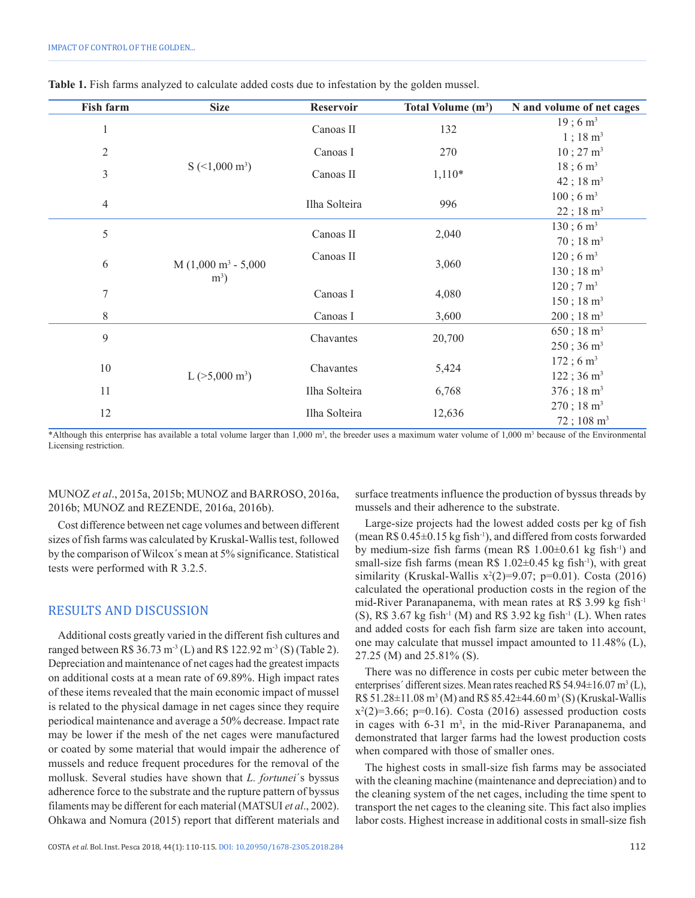| <b>Fish farm</b> | <b>Size</b>                   | Reservoir     | Total Volume (m <sup>3</sup> ) | N and volume of net cages |
|------------------|-------------------------------|---------------|--------------------------------|---------------------------|
| $\mathbf{1}$     |                               | Canoas II     | 132                            | $19$ ; 6 m <sup>3</sup>   |
|                  |                               |               |                                | $1$ ; 18 m <sup>3</sup>   |
| $\sqrt{2}$       |                               | Canoas I      | 270                            | $10$ ; 27 m <sup>3</sup>  |
| $\mathfrak{Z}$   | $S$ (<1,000 m <sup>3</sup> )  | Canoas II     | $1,110*$                       | $18$ ; 6 m <sup>3</sup>   |
|                  |                               |               |                                | $42$ ; 18 m <sup>3</sup>  |
| $\overline{4}$   |                               | Ilha Solteira | 996                            | $100$ ; 6 m <sup>3</sup>  |
|                  |                               |               |                                | $22$ ; 18 m <sup>3</sup>  |
| 5                |                               | Canoas II     | 2,040                          | $130$ ; 6 m <sup>3</sup>  |
|                  |                               |               |                                | $70$ ; 18 m <sup>3</sup>  |
| 6                | $M(1,000 \text{ m}^3 - 5,000$ | Canoas II     | 3,060                          | $120$ ; 6 m <sup>3</sup>  |
|                  | $m^3$ )                       |               |                                | $130$ ; $18 \text{ m}^3$  |
| $\overline{7}$   |                               | Canoas I      | 4,080                          | $120$ ; 7 m <sup>3</sup>  |
|                  |                               |               |                                | $150$ ; $18 \text{ m}^3$  |
| $\,$ 8 $\,$      |                               | Canoas I      | 3,600                          | $200$ ; 18 m <sup>3</sup> |
| 9                |                               | Chavantes     | 20,700                         | $650$ ; 18 m <sup>3</sup> |
|                  |                               |               |                                | $250$ ; 36 m <sup>3</sup> |
| $10\,$           |                               | Chavantes     | 5,424                          | $172$ ; 6 m <sup>3</sup>  |
|                  | L $(>5,000 \text{ m}^3)$      |               |                                | $122$ ; 36 m <sup>3</sup> |
| 11               |                               | Ilha Solteira | 6,768                          | $376$ ; 18 m <sup>3</sup> |
| 12               |                               | Ilha Solteira | 12,636                         | $270$ ; 18 m <sup>3</sup> |
|                  |                               |               |                                | $72$ ; 108 m <sup>3</sup> |

|  |  | Table 1. Fish farms analyzed to calculate added costs due to infestation by the golden mussel. |
|--|--|------------------------------------------------------------------------------------------------|
|  |  |                                                                                                |

\*Although this enterprise has available a total volume larger than 1,000 m<sup>3</sup>, the breeder uses a maximum water volume of 1,000 m<sup>3</sup> because of the Environmental Licensing restriction.

MUNOZ *et al*., 2015a, 2015b; MUNOZ and BARROSO, 2016a, 2016b; MUNOZ and REZENDE, 2016a, 2016b).

Cost difference between net cage volumes and between different sizes of fish farms was calculated by Kruskal-Wallis test, followed by the comparison of Wilcox´s mean at 5% significance. Statistical tests were performed with R 3.2.5.

## RESULTS AND DISCUSSION

Additional costs greatly varied in the different fish cultures and ranged between R\$ 36.73 m<sup>-3</sup> (L) and R\$ 122.92 m<sup>-3</sup> (S) (Table 2). Depreciation and maintenance of net cages had the greatest impacts on additional costs at a mean rate of 69.89%. High impact rates of these items revealed that the main economic impact of mussel is related to the physical damage in net cages since they require periodical maintenance and average a 50% decrease. Impact rate may be lower if the mesh of the net cages were manufactured or coated by some material that would impair the adherence of mussels and reduce frequent procedures for the removal of the mollusk. Several studies have shown that *L. fortunei*´s byssus adherence force to the substrate and the rupture pattern of byssus filaments may be different for each material (MATSUI *et al*., 2002). Ohkawa and Nomura (2015) report that different materials and

COSTA *et al.* Bol. Inst. Pesca 2018, 44(1): 110-115. DOI: 10.20950/1678-2305.2018.284 112

surface treatments influence the production of byssus threads by mussels and their adherence to the substrate.

Large-size projects had the lowest added costs per kg of fish (mean R\$ 0.45±0.15 kg fish-1), and differed from costs forwarded by medium-size fish farms (mean R\$  $1.00\pm0.61$  kg fish<sup>-1</sup>) and small-size fish farms (mean R\$  $1.02 \pm 0.45$  kg fish<sup>-1</sup>), with great similarity (Kruskal-Wallis  $x^2(2)=9.07$ ; p=0.01). Costa (2016) calculated the operational production costs in the region of the mid-River Paranapanema, with mean rates at R\$ 3.99 kg fish<sup>-1</sup> (S), R\$ 3.67 kg fish<sup>-1</sup> (M) and R\$ 3.92 kg fish<sup>-1</sup> (L). When rates and added costs for each fish farm size are taken into account, one may calculate that mussel impact amounted to 11.48% (L), 27.25 (M) and 25.81% (S).

There was no difference in costs per cubic meter between the enterprises' different sizes. Mean rates reached R\$ 54.94 $\pm$ 16.07 m<sup>3</sup>(L),  $R\$  51.28 $\pm$ 11.08 m<sup>3</sup> (M) and R\\$ 85.42 $\pm$ 44.60 m<sup>3</sup> (S) (Kruskal-Wallis  $x^2(2)=3.66$ ; p=0.16). Costa (2016) assessed production costs in cages with  $6-31 \text{ m}^3$ , in the mid-River Paranapanema, and demonstrated that larger farms had the lowest production costs when compared with those of smaller ones.

The highest costs in small-size fish farms may be associated with the cleaning machine (maintenance and depreciation) and to the cleaning system of the net cages, including the time spent to transport the net cages to the cleaning site. This fact also implies labor costs. Highest increase in additional costs in small-size fish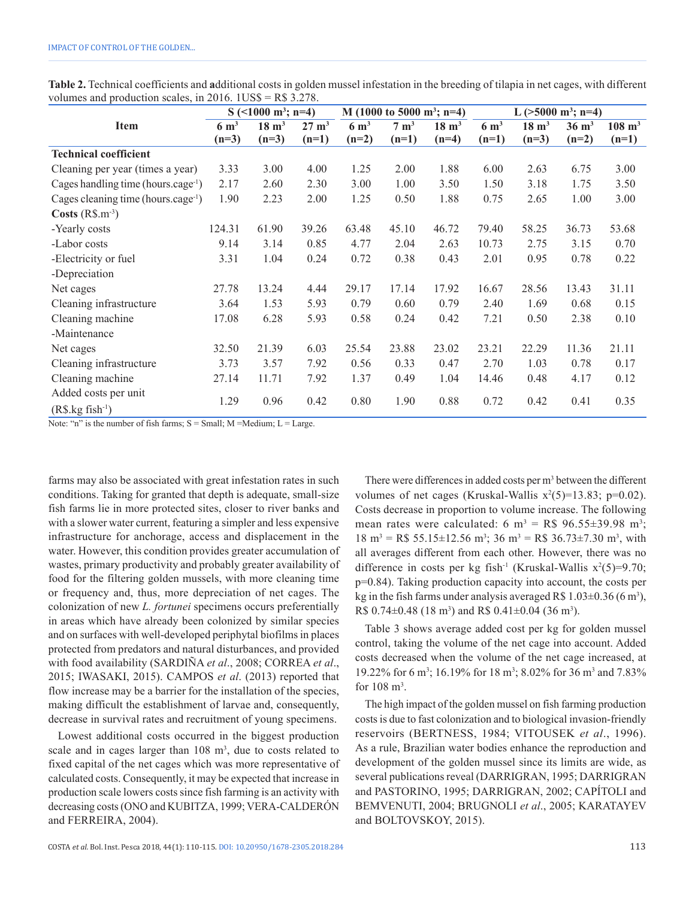|                                                | $S \approx (1000 \text{ m}^3; \text{ n=4})$ |                  | M (1000 to 5000 m <sup>3</sup> ; n=4) |                 | L ( $>5000$ m <sup>3</sup> ; n=4) |                  |                 |                  |                  |                   |
|------------------------------------------------|---------------------------------------------|------------------|---------------------------------------|-----------------|-----------------------------------|------------------|-----------------|------------------|------------------|-------------------|
| <b>Item</b>                                    | $6 \text{ m}^3$                             | $18 \text{ m}^3$ | $27 \text{ m}^3$                      | $6 \text{ m}^3$ | $7 \text{ m}^3$                   | $18 \text{ m}^3$ | $6 \text{ m}^3$ | $18 \text{ m}^3$ | $36 \text{ m}^3$ | $108 \text{ m}^3$ |
|                                                | $(n=3)$                                     | $(n=3)$          | $(n=1)$                               | $(n=2)$         | $(n=1)$                           | $(n=4)$          | $(n=1)$         | $(n=3)$          | $(n=2)$          | $(n=1)$           |
| <b>Technical coefficient</b>                   |                                             |                  |                                       |                 |                                   |                  |                 |                  |                  |                   |
| Cleaning per year (times a year)               | 3.33                                        | 3.00             | 4.00                                  | 1.25            | 2.00                              | 1.88             | 6.00            | 2.63             | 6.75             | 3.00              |
| Cages handling time (hours.cage <sup>1</sup> ) | 2.17                                        | 2.60             | 2.30                                  | 3.00            | 1.00                              | 3.50             | 1.50            | 3.18             | 1.75             | 3.50              |
| Cages cleaning time (hours.cage <sup>1</sup> ) | 1.90                                        | 2.23             | 2.00                                  | 1.25            | 0.50                              | 1.88             | 0.75            | 2.65             | 1.00             | 3.00              |
| $\text{Costs (R$.}m^3)$                        |                                             |                  |                                       |                 |                                   |                  |                 |                  |                  |                   |
| -Yearly costs                                  | 124.31                                      | 61.90            | 39.26                                 | 63.48           | 45.10                             | 46.72            | 79.40           | 58.25            | 36.73            | 53.68             |
| -Labor costs                                   | 9.14                                        | 3.14             | 0.85                                  | 4.77            | 2.04                              | 2.63             | 10.73           | 2.75             | 3.15             | 0.70              |
| -Electricity or fuel                           | 3.31                                        | 1.04             | 0.24                                  | 0.72            | 0.38                              | 0.43             | 2.01            | 0.95             | 0.78             | 0.22              |
| -Depreciation                                  |                                             |                  |                                       |                 |                                   |                  |                 |                  |                  |                   |
| Net cages                                      | 27.78                                       | 13.24            | 4.44                                  | 29.17           | 17.14                             | 17.92            | 16.67           | 28.56            | 13.43            | 31.11             |
| Cleaning infrastructure                        | 3.64                                        | 1.53             | 5.93                                  | 0.79            | 0.60                              | 0.79             | 2.40            | 1.69             | 0.68             | 0.15              |
| Cleaning machine                               | 17.08                                       | 6.28             | 5.93                                  | 0.58            | 0.24                              | 0.42             | 7.21            | 0.50             | 2.38             | 0.10              |
| -Maintenance                                   |                                             |                  |                                       |                 |                                   |                  |                 |                  |                  |                   |
| Net cages                                      | 32.50                                       | 21.39            | 6.03                                  | 25.54           | 23.88                             | 23.02            | 23.21           | 22.29            | 11.36            | 21.11             |
| Cleaning infrastructure                        | 3.73                                        | 3.57             | 7.92                                  | 0.56            | 0.33                              | 0.47             | 2.70            | 1.03             | 0.78             | 0.17              |
| Cleaning machine                               | 27.14                                       | 11.71            | 7.92                                  | 1.37            | 0.49                              | 1.04             | 14.46           | 0.48             | 4.17             | 0.12              |
| Added costs per unit                           |                                             |                  |                                       |                 |                                   |                  |                 |                  |                  |                   |
| $(R\$ {S.kg fish}^{-1})                        | 1.29                                        | 0.96             | 0.42                                  | 0.80            | 1.90                              | 0.88             | 0.72            | 0.42             | 0.41             | 0.35              |

**Table 2.** Technical coefficients and **a**dditional costs in golden mussel infestation in the breeding of tilapia in net cages, with different volumes and production scales, in 2016. 1US\$ = R\$ 3.278.

Note: "n" is the number of fish farms;  $S = Small$ ;  $M = Medium$ ;  $L = Large$ .

farms may also be associated with great infestation rates in such conditions. Taking for granted that depth is adequate, small-size fish farms lie in more protected sites, closer to river banks and with a slower water current, featuring a simpler and less expensive infrastructure for anchorage, access and displacement in the water. However, this condition provides greater accumulation of wastes, primary productivity and probably greater availability of food for the filtering golden mussels, with more cleaning time or frequency and, thus, more depreciation of net cages. The colonization of new *L. fortunei* specimens occurs preferentially in areas which have already been colonized by similar species and on surfaces with well-developed periphytal biofilms in places protected from predators and natural disturbances, and provided with food availability (SARDIÑA *et al*., 2008; CORREA *et al*., 2015; IWASAKI, 2015). CAMPOS *et al*. (2013) reported that flow increase may be a barrier for the installation of the species, making difficult the establishment of larvae and, consequently, decrease in survival rates and recruitment of young specimens.

Lowest additional costs occurred in the biggest production scale and in cages larger than  $108 \text{ m}^3$ , due to costs related to fixed capital of the net cages which was more representative of calculated costs. Consequently, it may be expected that increase in production scale lowers costs since fish farming is an activity with decreasing costs (ONO and KUBITZA, 1999; VERA-CALDERÓN and FERREIRA, 2004).

There were differences in added costs per  $m<sup>3</sup>$  between the different volumes of net cages (Kruskal-Wallis  $x^2(5)=13.83$ ; p=0.02). Costs decrease in proportion to volume increase. The following mean rates were calculated:  $6 \text{ m}^3 = \text{RS } 96.55 \pm 39.98 \text{ m}^3$ ;  $18 \text{ m}^3 = \text{R} \$ 55.15 \pm 12.56 \text{ m}^3$ ;  $36 \text{ m}^3 = \text{R} \$ 36.73 \pm 7.30 \text{ m}^3$ , with all averages different from each other. However, there was no difference in costs per kg fish<sup>-1</sup> (Kruskal-Wallis  $x^2(5)=9.70$ ; p=0.84). Taking production capacity into account, the costs per kg in the fish farms under analysis averaged R\$  $1.03 \pm 0.36$  (6 m<sup>3</sup>), R\$  $0.74 \pm 0.48$  (18 m<sup>3</sup>) and R\$  $0.41 \pm 0.04$  (36 m<sup>3</sup>).

Table 3 shows average added cost per kg for golden mussel control, taking the volume of the net cage into account. Added costs decreased when the volume of the net cage increased, at 19.22% for 6 m<sup>3</sup>; 16.19% for 18 m<sup>3</sup>; 8.02% for 36 m<sup>3</sup> and 7.83% for  $108 \text{ m}^3$ .

The high impact of the golden mussel on fish farming production costs is due to fast colonization and to biological invasion-friendly reservoirs (BERTNESS, 1984; VITOUSEK *et al*., 1996). As a rule, Brazilian water bodies enhance the reproduction and development of the golden mussel since its limits are wide, as several publications reveal (DARRIGRAN, 1995; DARRIGRAN and PASTORINO, 1995; DARRIGRAN, 2002; CAPÍTOLI and BEMVENUTI, 2004; BRUGNOLI *et al*., 2005; KARATAYEV and BOLTOVSKOY, 2015).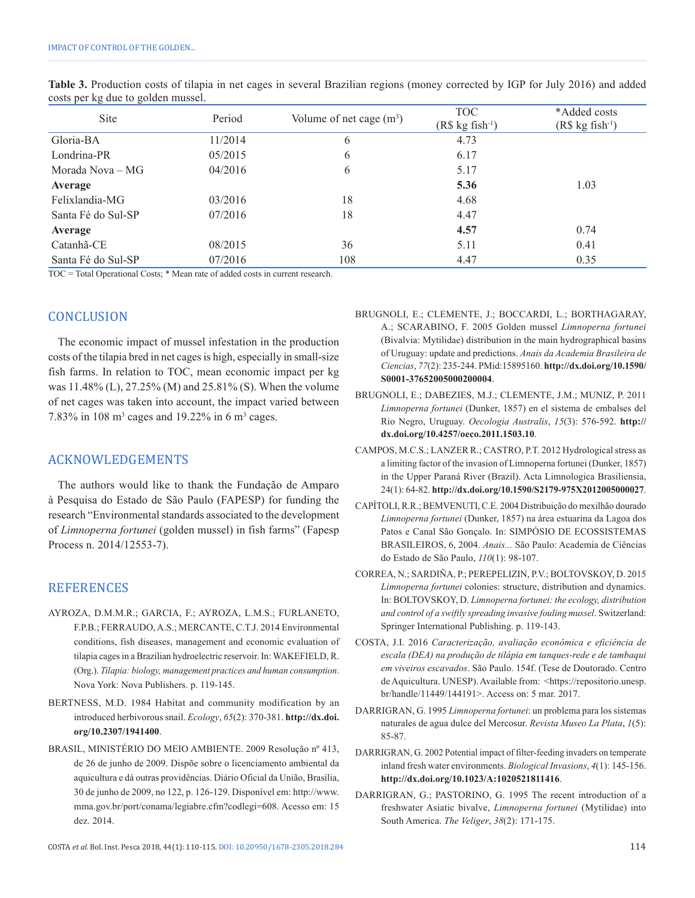| <b>Site</b>        | Period  | Volume of net cage $(m^3)$ | <b>TOC</b><br>$(R$ kg fish-1)$ | *Added costs<br>$(R$ kg fish-1)$ |
|--------------------|---------|----------------------------|--------------------------------|----------------------------------|
| Gloria-BA          | 11/2014 | 6                          | 4.73                           |                                  |
| Londrina-PR        | 05/2015 | 6                          | 6.17                           |                                  |
| Morada Nova – MG   | 04/2016 | 6                          | 5.17                           |                                  |
| Average            |         |                            | 5.36                           | 1.03                             |
| Felixlandia-MG     | 03/2016 | 18                         | 4.68                           |                                  |
| Santa Fé do Sul-SP | 07/2016 | 18                         | 4.47                           |                                  |
| Average            |         |                            | 4.57                           | 0.74                             |
| Catanhã-CE         | 08/2015 | 36                         | 5.11                           | 0.41                             |
| Santa Fé do Sul-SP | 07/2016 | 108                        | 4.47                           | 0.35                             |

**Table 3.** Production costs of tilapia in net cages in several Brazilian regions (money corrected by IGP for July 2016) and added costs per kg due to golden mussel.

TOC = Total Operational Costs; \* Mean rate of added costs in current research.

# **CONCLUSION**

The economic impact of mussel infestation in the production costs of the tilapia bred in net cages is high, especially in small-size fish farms. In relation to TOC, mean economic impact per kg was 11.48% (L), 27.25% (M) and 25.81% (S). When the volume of net cages was taken into account, the impact varied between 7.83% in 108  $m^3$  cages and 19.22% in 6  $m^3$  cages.

## ACKNOWLEDGEMENTS

The authors would like to thank the Fundação de Amparo à Pesquisa do Estado de São Paulo (FAPESP) for funding the research "Environmental standards associated to the development of *Limnoperna fortunei* (golden mussel) in fish farms" (Fapesp Process n. 2014/12553-7).

## **REFERENCES**

- AYROZA, D.M.M.R.; GARCIA, F.; AYROZA, L.M.S.; FURLANETO, F.P.B.; FERRAUDO, A.S.; MERCANTE, C.T.J. 2014 Environmental conditions, fish diseases, management and economic evaluation of tilapia cages in a Brazilian hydroelectric reservoir. In: WAKEFIELD, R. (Org.). *Tilapia: biology, management practices and human consumption*. Nova York: Nova Publishers. p. 119-145.
- BERTNESS, M.D. 1984 Habitat and community modification by an introduced herbivorous snail. *Ecology*, *65*(2): 370-381. **[http://dx.doi.](http://dx.doi.org/10.2307/1941400) [org/10.2307/1941400](http://dx.doi.org/10.2307/1941400)**.
- BRASIL, MINISTÉRIO DO MEIO AMBIENTE. 2009 Resolução nº 413, de 26 de junho de 2009. Dispõe sobre o licenciamento ambiental da aquicultura e dá outras providências. Diário Oficial da União, Brasília, 30 de junho de 2009, no 122, p. 126-129. Disponível em: http://www. mma.gov.br/port/conama/legiabre.cfm?codlegi=608. Acesso em: 15 dez. 2014.

BRUGNOLI, E.; CLEMENTE, J.; BOCCARDI, L.; BORTHAGARAY, A.; SCARABINO, F. 2005 Golden mussel *Limnoperna fortunei* (Bivalvia: Mytilidae) distribution in the main hydrographical basins of Uruguay: update and predictions. *Anais da Academia Brasileira de Ciencias*, *77*(2): 235-244[. PMid:15895160.](http://www.ncbi.nlm.nih.gov/entrez/query.fcgi?cmd=Retrieve&db=PubMed&list_uids=15895160&dopt=Abstract) **[http://dx.doi.org/10.1590/](http://dx.doi.org/10.1590/S0001-37652005000200004) [S0001-37652005000200004](http://dx.doi.org/10.1590/S0001-37652005000200004)**.

- BRUGNOLI, E.; DABEZIES, M.J.; CLEMENTE, J.M.; MUNIZ, P. 2011 *Limnoperna fortunei* (Dunker, 1857) en el sistema de embalses del Rio Negro, Uruguay. *Oecologia Australis*, *15*(3): 576-592. **[http://](http://dx.doi.org/10.4257/oeco.2011.1503.10) [dx.doi.org/10.4257/oeco.2011.1503.10](http://dx.doi.org/10.4257/oeco.2011.1503.10)**.
- CAMPOS, M.C.S.; LANZER R.; CASTRO, P.T. 2012 Hydrological stress as a limiting factor of the invasion of Limnoperna fortunei (Dunker, 1857) in the Upper Paraná River (Brazil). Acta Limnologica Brasiliensia, 24(1): 64-82. **http://dx.doi.org/10.1590/S2179-975X2012005000027**.
- CAPÍTOLI, R.R.; BEMVENUTI, C.E. 2004 Distribuição do mexilhão dourado *Limnoperna fortunei* (Dunker, 1857) na área estuarina da Lagoa dos Patos e Canal São Gonçalo. In: SIMPÓSIO DE ECOSSISTEMAS BRASILEIROS, 6, 2004. *Anais...* São Paulo: Academia de Ciências do Estado de São Paulo, *110*(1): 98-107.
- CORREA, N.; SARDIÑA, P.; PEREPELIZIN, P.V.; BOLTOVSKOY, D. 2015 *Limnoperna fortunei* colonies: structure, distribution and dynamics. In: BOLTOVSKOY, D. *Limnoperna fortunei: the ecology, distribution and control of a swiftly spreading invasive fouling mussel*. Switzerland: Springer International Publishing. p. 119-143.
- COSTA, J.I. 2016 *Caracterização, avaliação econômica e eficiência de escala (DEA) na produção de tilápia em tanques-rede e de tambaqui em viveiros escavados*. São Paulo. 154f. (Tese de Doutorado. Centro de Aquicultura. UNESP). Available from: <https://repositorio.unesp. br/handle/11449/144191>. Access on: 5 mar. 2017.
- DARRIGRAN, G. 1995 *Limnoperna fortunei*: un problema para los sistemas naturales de agua dulce del Mercosur. *Revista Museo La Plata*, *1*(5): 85-87.
- DARRIGRAN, G. 2002 Potential impact of filter-feeding invaders on temperate inland fresh water environments. *Biological Invasions*, *4*(1): 145-156. **<http://dx.doi.org/10.1023/A:1020521811416>**.
- DARRIGRAN, G.; PASTORINO, G. 1995 The recent introduction of a freshwater Asiatic bivalve, *Limnoperna fortunei* (Mytilidae) into South America. *The Veliger*, *38*(2): 171-175.